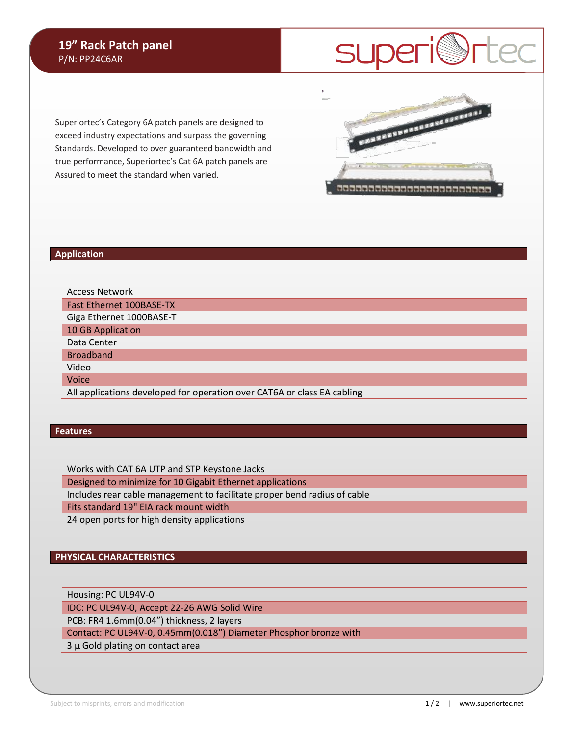**SUperi@rtec** 

**PROFESSIONAL PROPERTY** 

3333333333333333333333333

Superiortec's Category 6A patch panels are designed to exceed industry expectations and surpass the governing Standards. Developed to over guaranteed bandwidth and true performance, Superiortec's Cat 6A patch panels are Assured to meet the standard when varied.

#### **Application**

Access Network Fast Ethernet 100BASE-TX Giga Ethernet 1000BASE-T 10 GB Application

Data Center

Broadband

Video

Voice

All applications developed for operation over CAT6A or class EA cabling

### **Features**

Works with CAT 6A UTP and STP Keystone Jacks

Designed to minimize for 10 Gigabit Ethernet applications

Includes rear cable management to facilitate proper bend radius of cable

Fits standard 19" EIA rack mount width

24 open ports for high density applications

## **PHYSICAL CHARACTERISTICS**

Housing: PC UL94V-0

IDC: PC UL94V-0, Accept 22-26 AWG Solid Wire

PCB: FR4 1.6mm(0.04") thickness, 2 layers

Contact: PC UL94V-0, 0.45mm(0.018") Diameter Phosphor bronze with

3 μ Gold plating on contact area